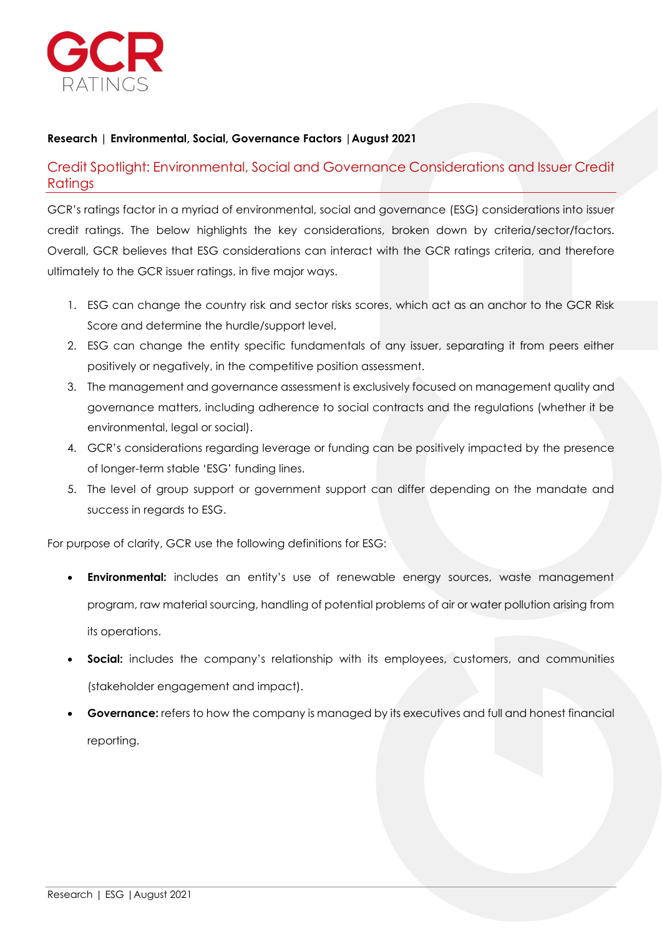

## **Research | Environmental, Social, Governance Factors |August 2021**

Credit Spotlight: Environmental, Social and Governance Considerations and Issuer Credit Ratings

GCR's ratings factor in a myriad of environmental, social and governance (ESG) considerations into issuer credit ratings. The below highlights the key considerations, broken down by criteria/sector/factors. Overall, GCR believes that ESG considerations can interact with the GCR ratings criteria, and therefore ultimately to the GCR issuer ratings, in five major ways.

- 1. ESG can change the country risk and sector risks scores, which act as an anchor to the GCR Risk Score and determine the hurdle/support level.
- 2. ESG can change the entity specific fundamentals of any issuer, separating it from peers either positively or negatively, in the competitive position assessment.
- 3. The management and governance assessment is exclusively focused on management quality and governance matters, including adherence to social contracts and the regulations (whether it be environmental, legal or social).
- 4. GCR's considerations regarding leverage or funding can be positively impacted by the presence of longer-term stable 'ESG' funding lines.
- 5. The level of group support or government support can differ depending on the mandate and success in regards to ESG.

For purpose of clarity, GCR use the following definitions for ESG:

- **Environmental:** includes an entity's use of renewable energy sources, waste management program, raw material sourcing, handling of potential problems of air or water pollution arising from its operations.
- **Social:** includes the company's relationship with its employees, customers, and communities (stakeholder engagement and impact).
- **Governance:** refers to how the company is managed by its executives and full and honest financial reporting.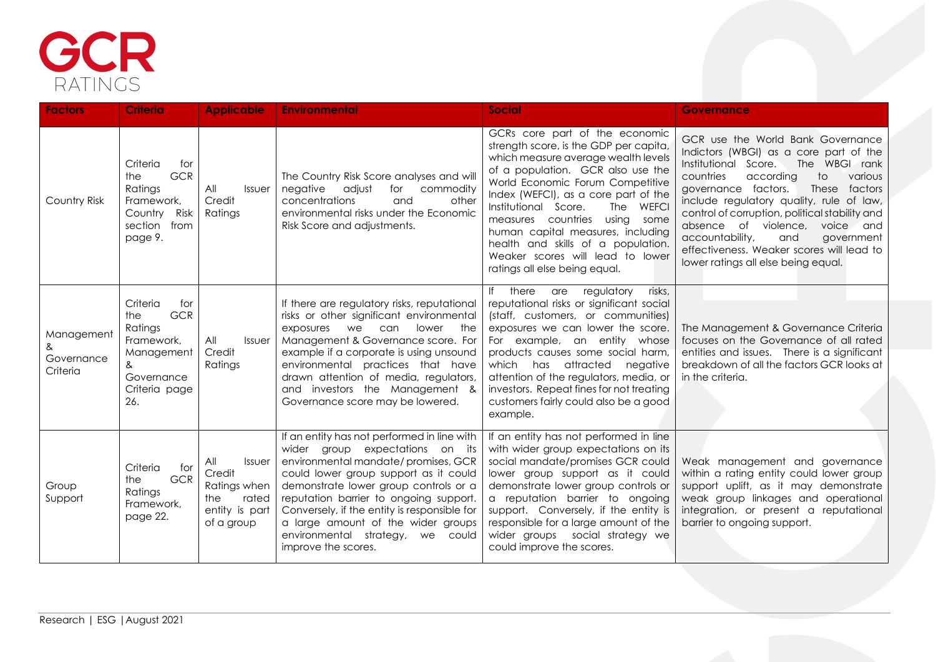

| <b>Factors</b>                       | <b>Criteria</b>                                                                                                        | <b>Applicable</b>                                                                              | <b>Environmental</b>                                                                                                                                                                                                                                                                                                                                                                               | <b>Social</b>                                                                                                                                                                                                                                                                                                                                                                                                                                             | <b>Governance</b>                                                                                                                                                                                                                                                                                                                                                                                                                                                         |
|--------------------------------------|------------------------------------------------------------------------------------------------------------------------|------------------------------------------------------------------------------------------------|----------------------------------------------------------------------------------------------------------------------------------------------------------------------------------------------------------------------------------------------------------------------------------------------------------------------------------------------------------------------------------------------------|-----------------------------------------------------------------------------------------------------------------------------------------------------------------------------------------------------------------------------------------------------------------------------------------------------------------------------------------------------------------------------------------------------------------------------------------------------------|---------------------------------------------------------------------------------------------------------------------------------------------------------------------------------------------------------------------------------------------------------------------------------------------------------------------------------------------------------------------------------------------------------------------------------------------------------------------------|
| Country Risk                         | Criteria<br>for<br><b>GCR</b><br>the<br>Ratings<br>Framework,<br>Country Risk<br>section from<br>page 9.               | All<br>Issuer<br>Credit<br>Ratings                                                             | The Country Risk Score analyses and will<br>negative adjust<br>for<br>commodity<br>concentrations<br>and<br>other<br>environmental risks under the Economic<br>Risk Score and adjustments.                                                                                                                                                                                                         | GCRs core part of the economic<br>strength score, is the GDP per capita,<br>which measure average wealth levels<br>of a population. GCR also use the<br>World Economic Forum Competitive<br>Index (WEFCI), as a core part of the<br>Institutional Score.<br>The WEFCI<br>measures countries<br>using some<br>human capital measures, including<br>health and skills of a population.<br>Weaker scores will lead to lower<br>ratings all else being equal. | GCR use the World Bank Governance<br>Indictors (WBGI) as a core part of the<br>Institutional Score.<br>The WBGI rank<br>countries<br>according<br>to<br>various<br>governance factors.<br>These<br>factors<br>include regulatory quality, rule of law,<br>control of corruption, political stability and<br>absence of violence,<br>voice and<br>accountability,<br>and<br>government<br>effectiveness. Weaker scores will lead to<br>lower ratings all else being equal. |
| Management<br>Governance<br>Criteria | Criteria<br>for<br><b>GCR</b><br>the<br>Ratings<br>Framework,<br>Management<br>&<br>Governance<br>Criteria page<br>26. | All<br>Issuer<br>Credit<br>Ratings                                                             | If there are regulatory risks, reputational<br>risks or other significant environmental<br>lower<br>exposures we<br>can<br>the<br>Management & Governance score. For<br>example if a corporate is using unsound<br>environmental practices that have<br>drawn attention of media, regulators,<br>and investors the Management &<br>Governance score may be lowered.                                | there<br>regulatory<br>risks,<br>If<br>are<br>reputational risks or significant social<br>(staff, customers, or communities)<br>exposures we can lower the score.<br>For example, an entity whose<br>products causes some social harm,<br>which has attracted<br>negative<br>attention of the regulators, media, or<br>investors. Repeat fines for not treating<br>customers fairly could also be a good<br>example.                                      | The Management & Governance Criteria<br>focuses on the Governance of all rated<br>entities and issues. There is a significant<br>breakdown of all the factors GCR looks at<br>in the criteria.                                                                                                                                                                                                                                                                            |
| Group<br>Support                     | Criteria<br>for<br><b>GCR</b><br>the<br>Ratings<br>Framework,<br>page 22.                                              | All<br><b>Issuer</b><br>Credit<br>Ratings when<br>the<br>rated<br>entity is part<br>of a group | If an entity has not performed in line with<br>wider group expectations on its<br>environmental mandate/promises, GCR<br>could lower group support as it could<br>demonstrate lower group controls or a<br>reputation barrier to ongoing support.<br>Conversely, if the entity is responsible for<br>a large amount of the wider groups<br>environmental strategy, we could<br>improve the scores. | If an entity has not performed in line<br>with wider group expectations on its<br>social mandate/promises GCR could<br>lower group support as it could<br>demonstrate lower group controls or<br>a reputation barrier to ongoing<br>support. Conversely, if the entity is<br>responsible for a large amount of the<br>wider groups social strategy we<br>could improve the scores.                                                                        | Weak management and governance<br>within a rating entity could lower group<br>support uplift, as it may demonstrate<br>weak group linkages and operational<br>integration, or present a reputational<br>barrier to ongoing support.                                                                                                                                                                                                                                       |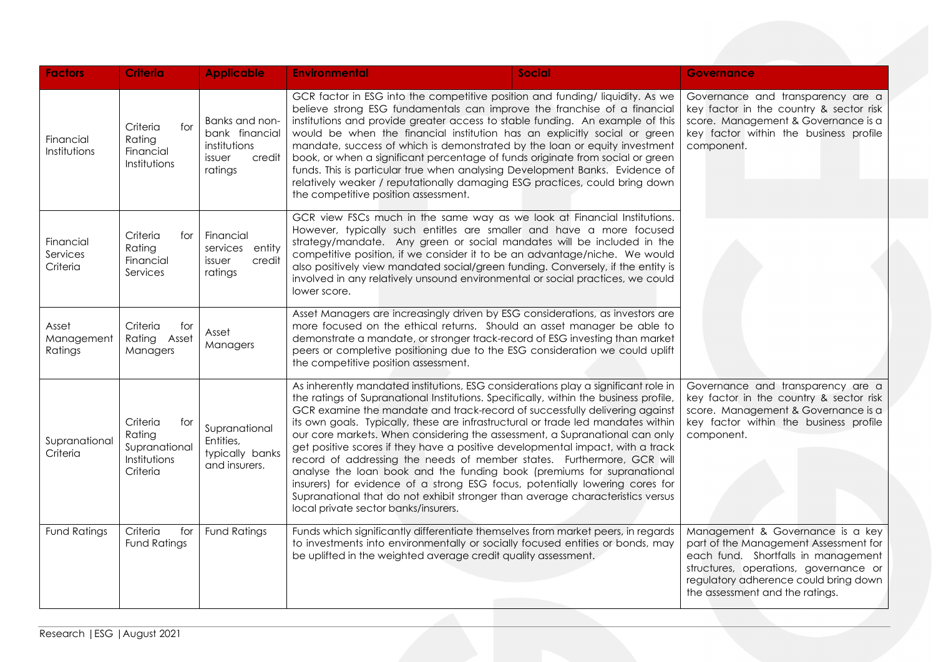| <b>Factors</b>                    | <b>Criteria</b>                                                        | <b>Applicable</b>                                                               | <b>Environmental</b>                                                                                                                                                                                                                                                                                                                                                                                                                                                                                                                                                                                                                                                                                                                                                                                                                                                          | <b>Social</b> | <b>Governance</b>                                                                                                                                                                                                                     |
|-----------------------------------|------------------------------------------------------------------------|---------------------------------------------------------------------------------|-------------------------------------------------------------------------------------------------------------------------------------------------------------------------------------------------------------------------------------------------------------------------------------------------------------------------------------------------------------------------------------------------------------------------------------------------------------------------------------------------------------------------------------------------------------------------------------------------------------------------------------------------------------------------------------------------------------------------------------------------------------------------------------------------------------------------------------------------------------------------------|---------------|---------------------------------------------------------------------------------------------------------------------------------------------------------------------------------------------------------------------------------------|
| Financial<br>Institutions         | Criteria<br>for<br>Rating<br>Financial<br>Institutions                 | Banks and non-<br>bank financial<br>institutions<br>issuer<br>credit<br>ratings | GCR factor in ESG into the competitive position and funding/liquidity. As we<br>believe strong ESG fundamentals can improve the franchise of a financial<br>institutions and provide greater access to stable funding. An example of this<br>would be when the financial institution has an explicitly social or green<br>mandate, success of which is demonstrated by the loan or equity investment<br>book, or when a significant percentage of funds originate from social or green<br>funds. This is particular true when analysing Development Banks. Evidence of<br>relatively weaker / reputationally damaging ESG practices, could bring down<br>the competitive position assessment.                                                                                                                                                                                 |               | Governance and transparency are a<br>key factor in the country & sector risk<br>score. Management & Governance is a<br>key factor within the business profile<br>component.                                                           |
| Financial<br>Services<br>Criteria | Criteria<br>for<br>Rating<br>Financial<br>Services                     | Financial<br>services entity<br>issuer<br>credit<br>ratings                     | GCR view FSCs much in the same way as we look at Financial Institutions.<br>However, typically such entitles are smaller and have a more focused<br>strategy/mandate. Any green or social mandates will be included in the<br>competitive position, if we consider it to be an advantage/niche. We would<br>also positively view mandated social/green funding. Conversely, if the entity is<br>involved in any relatively unsound environmental or social practices, we could<br>lower score.                                                                                                                                                                                                                                                                                                                                                                                |               |                                                                                                                                                                                                                                       |
| Asset<br>Management<br>Ratings    | Criteria<br>for<br>Rating Asset<br>Managers                            | Asset<br>Managers                                                               | Asset Managers are increasingly driven by ESG considerations, as investors are<br>more focused on the ethical returns. Should an asset manager be able to<br>demonstrate a mandate, or stronger track-record of ESG investing than market<br>peers or completive positioning due to the ESG consideration we could uplift<br>the competitive position assessment.                                                                                                                                                                                                                                                                                                                                                                                                                                                                                                             |               |                                                                                                                                                                                                                                       |
| Supranational<br>Criteria         | Criteria<br>for<br>Rating<br>Supranational<br>Institutions<br>Criteria | Supranational<br>Entities,<br>typically banks<br>and insurers.                  | As inherently mandated institutions, ESG considerations play a significant role in<br>the ratings of Supranational Institutions. Specifically, within the business profile,<br>GCR examine the mandate and track-record of successfully delivering against<br>its own goals. Typically, these are infrastructural or trade led mandates within<br>our core markets. When considering the assessment, a Supranational can only<br>get positive scores if they have a positive developmental impact, with a track<br>record of addressing the needs of member states. Furthermore, GCR will<br>analyse the loan book and the funding book (premiums for supranational<br>insurers) for evidence of a strong ESG focus, potentially lowering cores for<br>Supranational that do not exhibit stronger than average characteristics versus<br>local private sector banks/insurers. |               | Governance and transparency are a<br>key factor in the country & sector risk<br>score. Management & Governance is a<br>key factor within the business profile<br>component.                                                           |
| <b>Fund Ratings</b>               | Criteria<br>for<br><b>Fund Ratings</b>                                 | <b>Fund Ratings</b>                                                             | Funds which significantly differentiate themselves from market peers, in regards<br>to investments into environmentally or socially focused entities or bonds, may<br>be uplifted in the weighted average credit quality assessment.                                                                                                                                                                                                                                                                                                                                                                                                                                                                                                                                                                                                                                          |               | Management & Governance is a key<br>part of the Management Assessment for<br>each fund. Shortfalls in management<br>structures, operations, governance or<br>regulatory adherence could bring down<br>the assessment and the ratings. |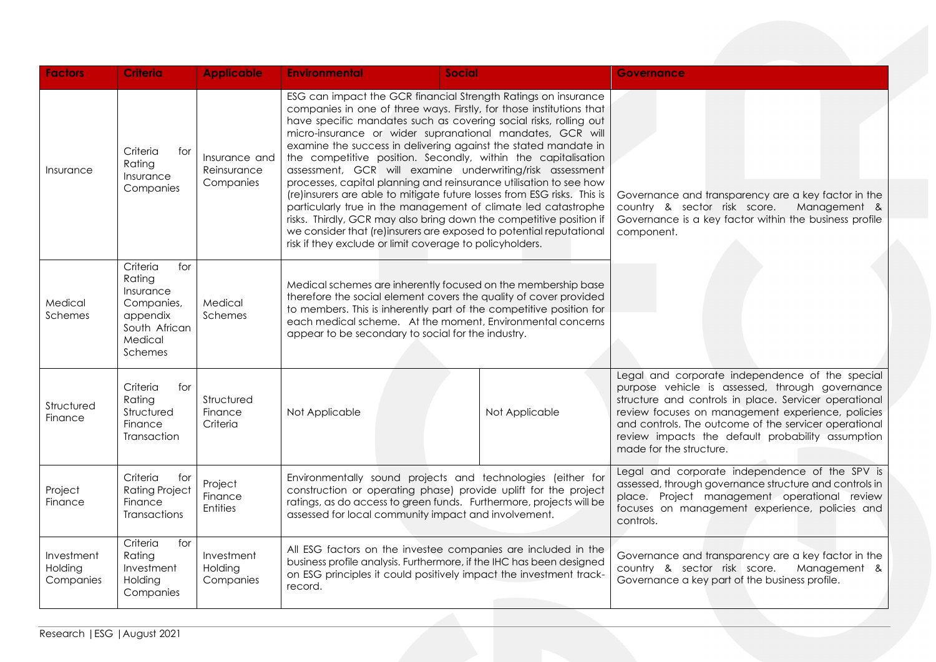| <b>Factors</b>                     | <b>Criteria</b>                                                                                         | <b>Applicable</b>                         | <b>Environmental</b>                                                                                                                                                                                                                                                                                                                                                                                                                                                                                                                                                                                                                                                                                                                                                                                                                                                                                   | <b>Social</b>                                                                                                                                                                                                                                                           | <b>Governance</b>                                                                                                                                                                                                                                                                                                                                         |
|------------------------------------|---------------------------------------------------------------------------------------------------------|-------------------------------------------|--------------------------------------------------------------------------------------------------------------------------------------------------------------------------------------------------------------------------------------------------------------------------------------------------------------------------------------------------------------------------------------------------------------------------------------------------------------------------------------------------------------------------------------------------------------------------------------------------------------------------------------------------------------------------------------------------------------------------------------------------------------------------------------------------------------------------------------------------------------------------------------------------------|-------------------------------------------------------------------------------------------------------------------------------------------------------------------------------------------------------------------------------------------------------------------------|-----------------------------------------------------------------------------------------------------------------------------------------------------------------------------------------------------------------------------------------------------------------------------------------------------------------------------------------------------------|
| Insurance                          | Criteria<br>for<br>Rating<br>Insurance<br>Companies                                                     | Insurance and<br>Reinsurance<br>Companies | ESG can impact the GCR financial Strength Ratings on insurance<br>companies in one of three ways. Firstly, for those institutions that<br>have specific mandates such as covering social risks, rolling out<br>micro-insurance or wider supranational mandates, GCR will<br>examine the success in delivering against the stated mandate in<br>the competitive position. Secondly, within the capitalisation<br>assessment, GCR will examine underwriting/risk assessment<br>processes, capital planning and reinsurance utilisation to see how<br>(re)insurers are able to mitigate future losses from ESG risks. This is<br>particularly true in the management of climate led catastrophe<br>risks. Thirdly, GCR may also bring down the competitive position if<br>we consider that (re)insurers are exposed to potential reputational<br>risk if they exclude or limit coverage to policyholders. |                                                                                                                                                                                                                                                                         | Governance and transparency are a key factor in the<br>country & sector risk score.<br>Management &<br>Governance is a key factor within the business profile<br>component.                                                                                                                                                                               |
| Medical<br><b>Schemes</b>          | Criteria<br>for<br>Rating<br>Insurance<br>Companies,<br>appendix<br>South African<br>Medical<br>Schemes | Medical<br>Schemes                        | appear to be secondary to social for the industry.                                                                                                                                                                                                                                                                                                                                                                                                                                                                                                                                                                                                                                                                                                                                                                                                                                                     | Medical schemes are inherently focused on the membership base<br>therefore the social element covers the quality of cover provided<br>to members. This is inherently part of the competitive position for<br>each medical scheme. At the moment, Environmental concerns |                                                                                                                                                                                                                                                                                                                                                           |
| Structured<br>Finance              | Criteria<br>for<br>Rating<br>Structured<br>Finance<br>Transaction                                       | Structured<br>Finance<br>Criteria         | Not Applicable                                                                                                                                                                                                                                                                                                                                                                                                                                                                                                                                                                                                                                                                                                                                                                                                                                                                                         | Not Applicable                                                                                                                                                                                                                                                          | Legal and corporate independence of the special<br>purpose vehicle is assessed, through governance<br>structure and controls in place. Servicer operational<br>review focuses on management experience, policies<br>and controls. The outcome of the servicer operational<br>review impacts the default probability assumption<br>made for the structure. |
| Project<br>Finance                 | Criteria<br>for<br><b>Rating Project</b><br>Finance<br><b>Transactions</b>                              | Project<br>Finance<br><b>Entities</b>     | Environmentally sound projects and technologies (either for<br>construction or operating phase) provide uplift for the project<br>ratings, as do access to green funds. Furthermore, projects will be<br>assessed for local community impact and involvement.                                                                                                                                                                                                                                                                                                                                                                                                                                                                                                                                                                                                                                          |                                                                                                                                                                                                                                                                         | Legal and corporate independence of the SPV is<br>assessed, through governance structure and controls in<br>place. Project management operational review<br>focuses on management experience, policies and<br>controls.                                                                                                                                   |
| Investment<br>Holding<br>Companies | Criteria<br>for<br>Rating<br>Investment<br>Holding<br>Companies                                         | Investment<br>Holding<br>Companies        | All ESG factors on the investee companies are included in the<br>business profile analysis. Furthermore, if the IHC has been designed<br>on ESG principles it could positively impact the investment track-<br>record.                                                                                                                                                                                                                                                                                                                                                                                                                                                                                                                                                                                                                                                                                 |                                                                                                                                                                                                                                                                         | Governance and transparency are a key factor in the<br>country & sector risk score.<br>Management &<br>Governance a key part of the business profile.                                                                                                                                                                                                     |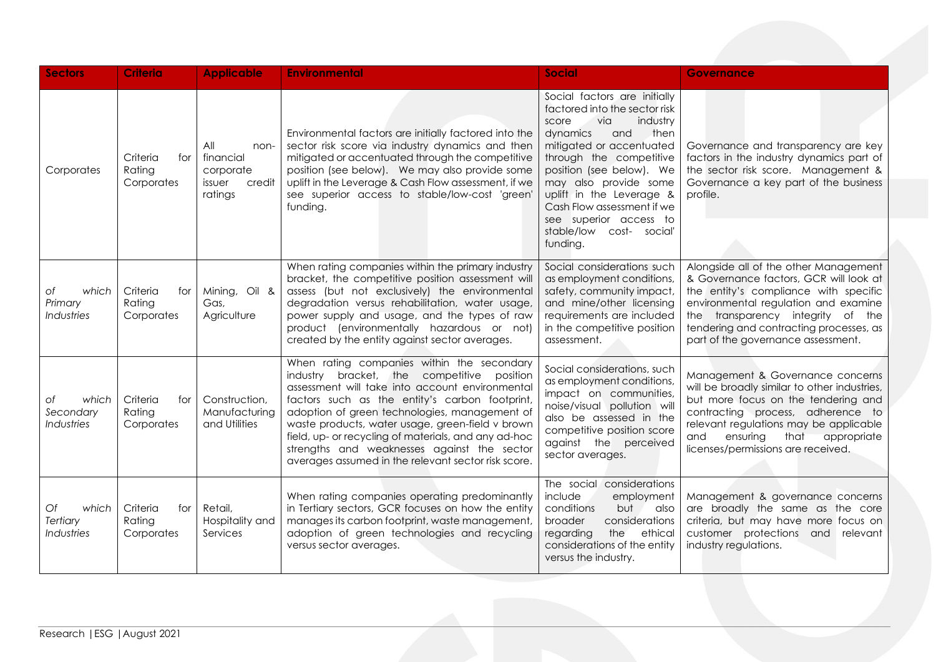| <b>Sectors</b>                               | <b>Criteria</b>                           | <b>Applicable</b>                                                    | <b>Environmental</b>                                                                                                                                                                                                                                                                                                                                                                                                                                             | <b>Social</b>                                                                                                                                                                                                                                                                                                                                                | <b>Governance</b>                                                                                                                                                                                                                                                                      |
|----------------------------------------------|-------------------------------------------|----------------------------------------------------------------------|------------------------------------------------------------------------------------------------------------------------------------------------------------------------------------------------------------------------------------------------------------------------------------------------------------------------------------------------------------------------------------------------------------------------------------------------------------------|--------------------------------------------------------------------------------------------------------------------------------------------------------------------------------------------------------------------------------------------------------------------------------------------------------------------------------------------------------------|----------------------------------------------------------------------------------------------------------------------------------------------------------------------------------------------------------------------------------------------------------------------------------------|
| Corporates                                   | Criteria<br>for I<br>Rating<br>Corporates | All<br>non-<br>financial<br>corporate<br>issuer<br>credit<br>ratings | Environmental factors are initially factored into the<br>sector risk score via industry dynamics and then<br>mitigated or accentuated through the competitive<br>position (see below). We may also provide some<br>uplift in the Leverage & Cash Flow assessment, if we<br>see superior access to stable/low-cost 'green'<br>funding.                                                                                                                            | Social factors are initially<br>factored into the sector risk<br>via<br>industry<br>score<br>dynamics<br>and<br>then<br>mitigated or accentuated<br>through the competitive<br>position (see below). We<br>may also provide some<br>uplift in the Leverage &<br>Cash Flow assessment if we<br>see superior access to<br>stable/low cost- social'<br>funding. | Governance and transparency are key<br>factors in the industry dynamics part of<br>the sector risk score. Management &<br>Governance a key part of the business<br>profile.                                                                                                            |
| which<br>Оf<br>Primary<br>Industries         | Criteria<br>for<br>Rating<br>Corporates   | Mining, Oil &<br>Gas,<br>Agriculture                                 | When rating companies within the primary industry<br>bracket, the competitive position assessment will<br>assess (but not exclusively) the environmental<br>degradation versus rehabilitation, water usage,<br>power supply and usage, and the types of raw<br>product (environmentally hazardous or not)<br>created by the entity against sector averages.                                                                                                      | Social considerations such<br>as employment conditions,<br>safety, community impact,<br>and mine/other licensing<br>requirements are included<br>in the competitive position<br>assessment.                                                                                                                                                                  | Alongside all of the other Management<br>& Governance factors, GCR will look at<br>the entity's compliance with specific<br>environmental regulation and examine<br>the transparency integrity of the<br>tendering and contracting processes, as<br>part of the governance assessment. |
| which<br>Оf<br>Secondary<br>Industries       | Criteria<br>for I<br>Rating<br>Corporates | Construction,<br>Manufacturing<br>and Utilities                      | When rating companies within the secondary<br>industry bracket, the competitive position<br>assessment will take into account environmental<br>factors such as the entity's carbon footprint,<br>adoption of green technologies, management of<br>waste products, water usage, green-field v brown<br>field, up- or recycling of materials, and any ad-hoc<br>strengths and weaknesses against the sector<br>averages assumed in the relevant sector risk score. | Social considerations, such<br>as employment conditions,<br>impact on communities,<br>noise/visual pollution will<br>also be assessed in the<br>competitive position score<br>against the perceived<br>sector averages.                                                                                                                                      | Management & Governance concerns<br>will be broadly similar to other industries,<br>but more focus on the tendering and<br>contracting process, adherence to<br>relevant regulations may be applicable<br>ensuring<br>that<br>and<br>appropriate<br>licenses/permissions are received. |
| Of<br>which<br>Tertiary<br><b>Industries</b> | Criteria<br>for<br>Rating<br>Corporates   | Retail,<br>Hospitality and<br>Services                               | When rating companies operating predominantly<br>in Tertiary sectors, GCR focuses on how the entity<br>manages its carbon footprint, waste management,<br>adoption of green technologies and recycling<br>versus sector averages.                                                                                                                                                                                                                                | The social considerations<br>include<br>employment<br>conditions<br>but<br>also<br>broader<br>considerations<br>the<br>regarding<br>ethical<br>considerations of the entity<br>versus the industry.                                                                                                                                                          | Management & governance concerns<br>are broadly the same as the core<br>criteria, but may have more focus on<br>customer protections and relevant<br>industry regulations.                                                                                                             |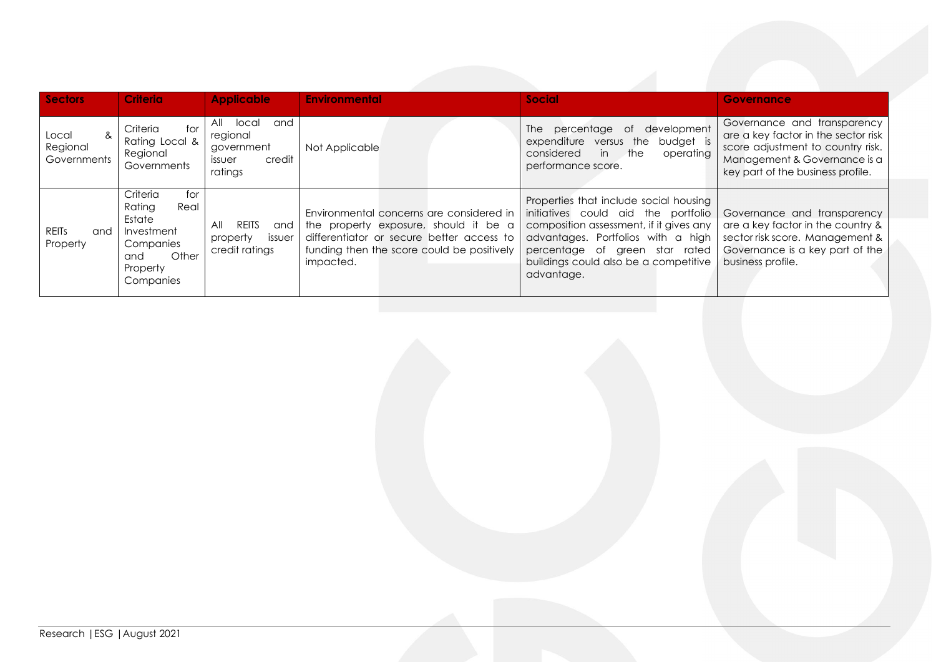| <b>Sectors</b>                        | <b>Criteria</b>                                                                                                 | <b>Applicable</b>                                                                   | <b>Environmental</b>                                                                                                                                                                      | <b>Social</b>                                                                                                                                                                                                                                           | Governance                                                                                                                                                                   |
|---------------------------------------|-----------------------------------------------------------------------------------------------------------------|-------------------------------------------------------------------------------------|-------------------------------------------------------------------------------------------------------------------------------------------------------------------------------------------|---------------------------------------------------------------------------------------------------------------------------------------------------------------------------------------------------------------------------------------------------------|------------------------------------------------------------------------------------------------------------------------------------------------------------------------------|
| &<br>Local<br>Regional<br>Governments | Criteria<br>for<br>Rating Local &<br>Regional<br>Governments                                                    | All<br>local<br>and<br>regional<br>aovernment<br>credit<br><i>issuer</i><br>ratings | Not Applicable                                                                                                                                                                            | development<br>The percentage of<br>versus the<br>budget is<br>expenditure<br>considered<br>in<br>the<br>operating<br>performance score.                                                                                                                | Governance and transparency<br>are a key factor in the sector risk<br>score adjustment to country risk.<br>Management & Governance is a<br>key part of the business profile. |
| <b>REITS</b><br>and<br>Property       | Criteria<br>for<br>Real<br>Rating<br>Estate<br>Investment<br>Companies<br>Other<br>and<br>Property<br>Companies | <b>REITS</b><br>All<br>and I<br>issuer<br>property<br>credit ratings                | Environmental concerns are considered in<br>the property exposure, should it be a<br>differentiator or secure better access to<br>funding then the score could be positively<br>impacted. | Properties that include social housing<br>initiatives could aid the portfolio<br>composition assessment, if it gives any<br>advantages. Portfolios with a high<br>percentage of green star rated<br>buildings could also be a competitive<br>advantage. | Governance and transparency<br>are a key factor in the country &<br>sector risk score. Management &<br>Governance is a key part of the<br>business profile.                  |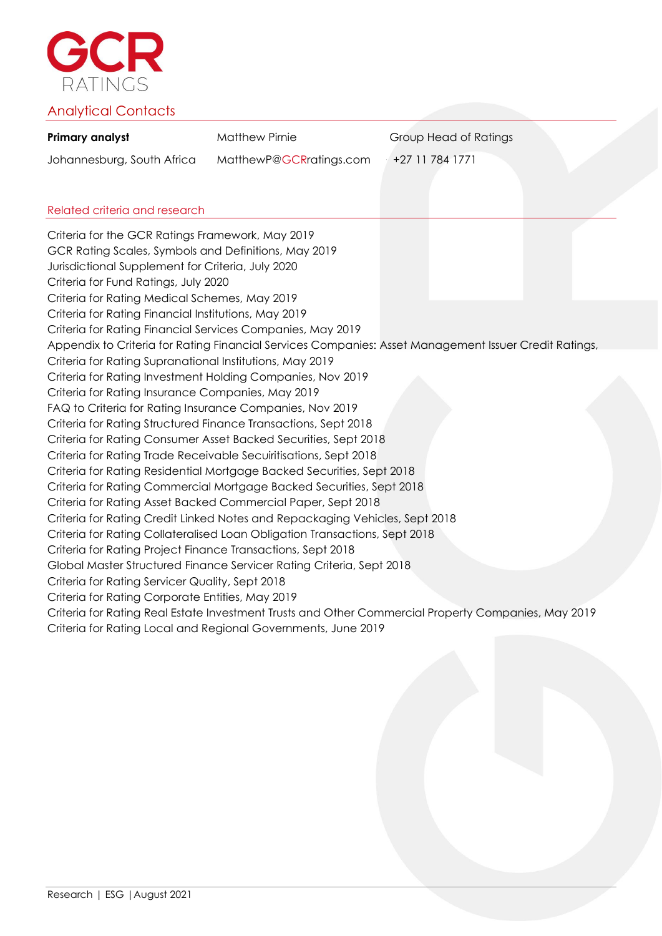

## Analytical Contacts

| Primary analyst            | Matthew Pirnie          | Group Head of Ratings |
|----------------------------|-------------------------|-----------------------|
| Johannesburg, South Africa | MatthewP@GCRratings.com | +27 11 784 1771       |

## Related criteria and research

Criteria for the GCR Ratings Framework, May 2019 GCR Rating Scales, Symbols and Definitions, May 2019 Jurisdictional Supplement for Criteria, July 2020 Criteria for Fund Ratings, July 2020 Criteria for Rating Medical Schemes, May 2019 Criteria for Rating Financial Institutions, May 2019 Criteria for Rating Financial Services Companies, May 2019 Appendix to Criteria for Rating Financial Services Companies: Asset Management Issuer Credit Ratings, Nov 2019 Criteria for Rating Supranational Institutions, May 2019 Criteria for Rating Investment Holding Companies, Nov 2019 Appendix to Criteria for Rating Financial Services Companies: Asset Management Issuer Credit Ratings, Criteria for Rating Insurance Companies, May 2019 FAQ to Criteria for Rating Insurance Companies, Nov 2019 Criteria for Rating Structured Finance Transactions, Sept 2018 Criteria for Rating Consumer Asset Backed Securities, Sept 2018 Criteria for Rating Trade Receivable Secuiritisations, Sept 2018 Criteria for Rating Residential Mortgage Backed Securities, Sept 2018 Criteria for Rating Commercial Mortgage Backed Securities, Sept 2018 Criteria for Rating Asset Backed Commercial Paper, Sept 2018 Criteria for Rating Credit Linked Notes and Repackaging Vehicles, Sept 2018 Criteria for Rating Collateralised Loan Obligation Transactions, Sept 2018 Criteria for Rating Project Finance Transactions, Sept 2018 Global Master Structured Finance Servicer Rating Criteria, Sept 2018 Criteria for Rating Servicer Quality, Sept 2018 Criteria for Rating Corporate Entities, May 2019 Criteria for Rating Real Estate Investment Trusts and Other Commercial Property Companies, May 2019 Criteria for Rating Local and Regional Governments, June 2019